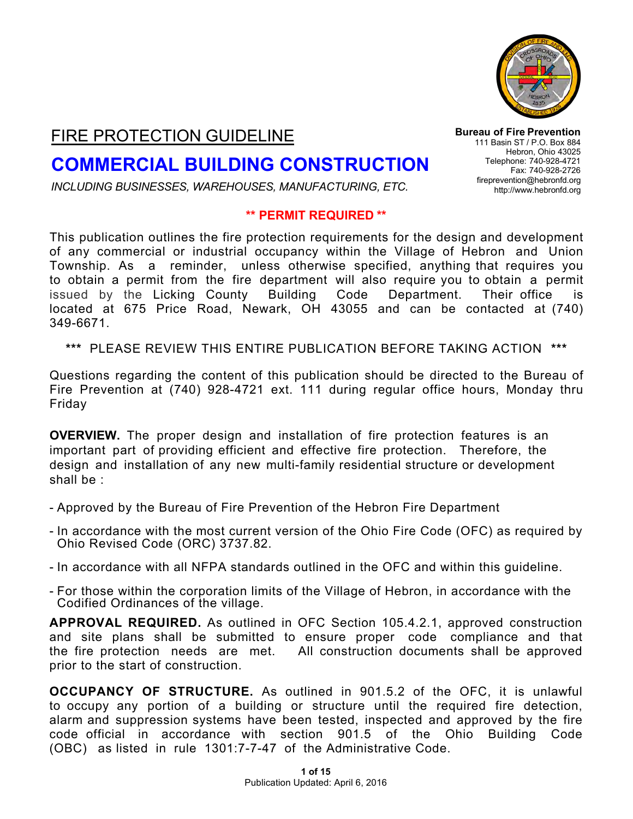

# FIRE PROTECTION GUIDELINE

# **COMMERCIAL BUILDING CONSTRUCTION**

*INCLUDING BUSINESSES, WAREHOUSES, MANUFACTURING, ETC.*

#### **\*\* PERMIT REQUIRED \*\***

This publication outlines the fire protection requirements for the design and development of any commercial or industrial occupancy within the Village of Hebron and Union Township. As a reminder, unless otherwise specified, anything that requires you to obtain a permit from the fire department will also require you to obtain a permit issued by the Licking County Building Code Department. Their office is located at 675 Price Road, Newark, OH 43055 and can be contacted at (740) 349-6671.

**\*\*\*** PLEASE REVIEW THIS ENTIRE PUBLICATION BEFORE TAKING ACTION **\*\*\***

Questions regarding the content of this publication should be directed to the Bureau of Fire Prevention at (740) 928-4721 ext. 111 during regular office hours, Monday thru Friday

**OVERVIEW.** The proper design and installation of fire protection features is an important part of providing efficient and effective fire protection. Therefore, the design and installation of any new multi-family residential structure or development shall be :

- Approved by the Bureau of Fire Prevention of the Hebron Fire Department
- In accordance with the most current version of the Ohio Fire Code (OFC) as required by Ohio Revised Code (ORC) 3737.82.
- In accordance with all NFPA standards outlined in the OFC and within this guideline.
- For those within the corporation limits of the Village of Hebron, in accordance with the Codified Ordinances of the village.

**APPROVAL REQUIRED.** As outlined in OFC Section 105.4.2.1, approved construction and site plans shall be submitted to ensure proper code compliance and that the fire protection needs are met. All construction documents shall be approved prior to the start of construction.

**OCCUPANCY OF STRUCTURE.** As outlined in 901.5.2 of the OFC, it is unlawful to occupy any portion of a building or structure until the required fire detection, alarm and suppression systems have been tested, inspected and approved by the fire code official in accordance with section 901.5 of the Ohio Building Code (OBC) as listed in rule 1301:7-7-47 of the Administrative Code.

**Bureau of Fire Prevention** 111 Basin ST / P.O. Box 884 Hebron, Ohio 43025 Telephone: 740-928-4721 Fax: 740-928-2726 [fireprevention@hebronfd.org](mailto:fireprevention@hebronfd.org) [http://www.hebronfd.org](http://www.hebronfd.org/)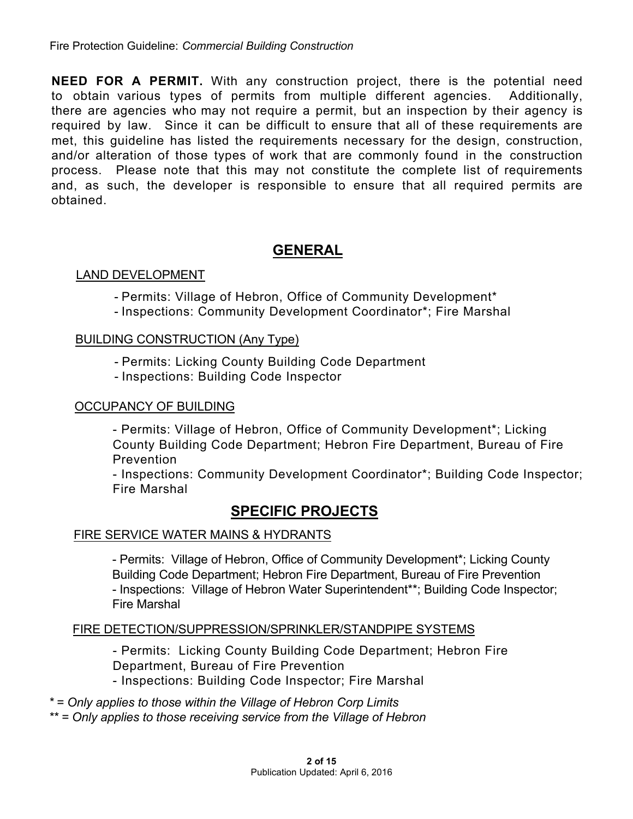**NEED FOR A PERMIT.** With any construction project, there is the potential need to obtain various types of permits from multiple different agencies. Additionally, there are agencies who may not require a permit, but an inspection by their agency is required by law. Since it can be difficult to ensure that all of these requirements are met, this guideline has listed the requirements necessary for the design, construction, and/or alteration of those types of work that are commonly found in the construction process. Please note that this may not constitute the complete list of requirements and, as such, the developer is responsible to ensure that all required permits are obtained.

## **GENERAL**

#### LAND DEVELOPMENT

- Permits: Village of Hebron, Office of Community Development\*
- Inspections: Community Development Coordinator\*; Fire Marshal

#### BUILDING CONSTRUCTION (Any Type)

- Permits: Licking County Building Code Department
- Inspections: Building Code Inspector

#### OCCUPANCY OF BUILDING

- Permits: Village of Hebron, Office of Community Development\*; Licking County Building Code Department; Hebron Fire Department, Bureau of Fire Prevention

- Inspections: Community Development Coordinator\*; Building Code Inspector; Fire Marshal

## **SPECIFIC PROJECTS**

#### FIRE SERVICE WATER MAINS & HYDRANTS

- Permits: Village of Hebron, Office of Community Development\*; Licking County Building Code Department; Hebron Fire Department, Bureau of Fire Prevention - Inspections: Village of Hebron Water Superintendent\*\*; Building Code Inspector; Fire Marshal

#### FIRE DETECTION/SUPPRESSION/SPRINKLER/STANDPIPE SYSTEMS

- Permits: Licking County Building Code Department; Hebron Fire Department, Bureau of Fire Prevention - Inspections: Building Code Inspector; Fire Marshal

*\* = Only applies to those within the Village of Hebron Corp Limits \*\* = Only applies to those receiving service from the Village of Hebron*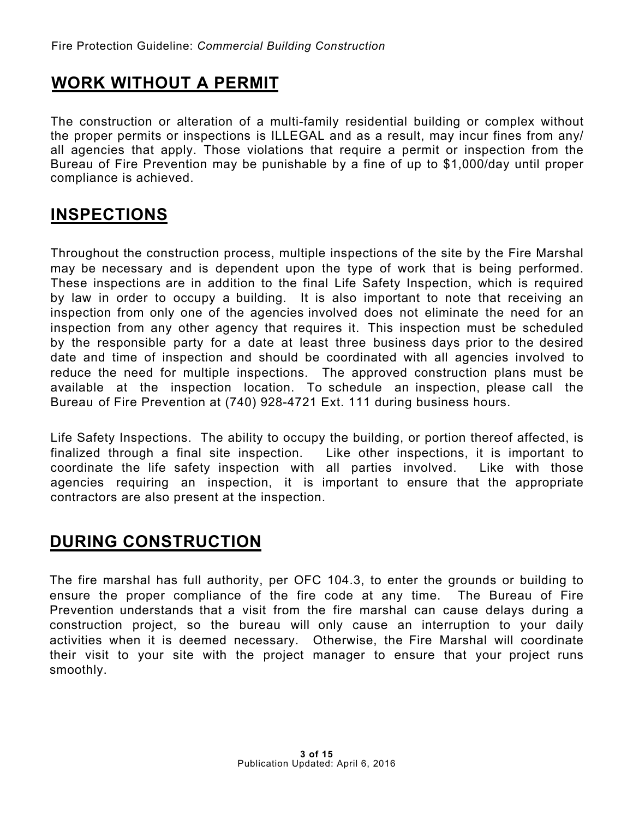# **WORK WITHOUT A PERMIT**

The construction or alteration of a multi-family residential building or complex without the proper permits or inspections is ILLEGAL and as a result, may incur fines from any/ all agencies that apply. Those violations that require a permit or inspection from the Bureau of Fire Prevention may be punishable by a fine of up to \$1,000/day until proper compliance is achieved.

# **INSPECTIONS**

Throughout the construction process, multiple inspections of the site by the Fire Marshal may be necessary and is dependent upon the type of work that is being performed. These inspections are in addition to the final Life Safety Inspection, which is required by law in order to occupy a building. It is also important to note that receiving an inspection from only one of the agencies involved does not eliminate the need for an inspection from any other agency that requires it. This inspection must be scheduled by the responsible party for a date at least three business days prior to the desired date and time of inspection and should be coordinated with all agencies involved to reduce the need for multiple inspections. The approved construction plans must be available at the inspection location. To schedule an inspection, please call the Bureau of Fire Prevention at (740) 928-4721 Ext. 111 during business hours.

Life Safety Inspections. The ability to occupy the building, or portion thereof affected, is finalized through a final site inspection. Like other inspections, it is important to coordinate the life safety inspection with all parties involved. Like with those agencies requiring an inspection, it is important to ensure that the appropriate contractors are also present at the inspection.

# **DURING CONSTRUCTION**

The fire marshal has full authority, per OFC 104.3, to enter the grounds or building to ensure the proper compliance of the fire code at any time. The Bureau of Fire Prevention understands that a visit from the fire [marshal](http://www.hebronfd.org/forms/fpsp.pdf) can cause delays during a construction project, so the bureau will only cause an interruption to your daily activities when it is deemed necessary. Otherwise, the Fire Marshal will coordinate their visit to your site with the project manager to ensure that your project runs smoothly.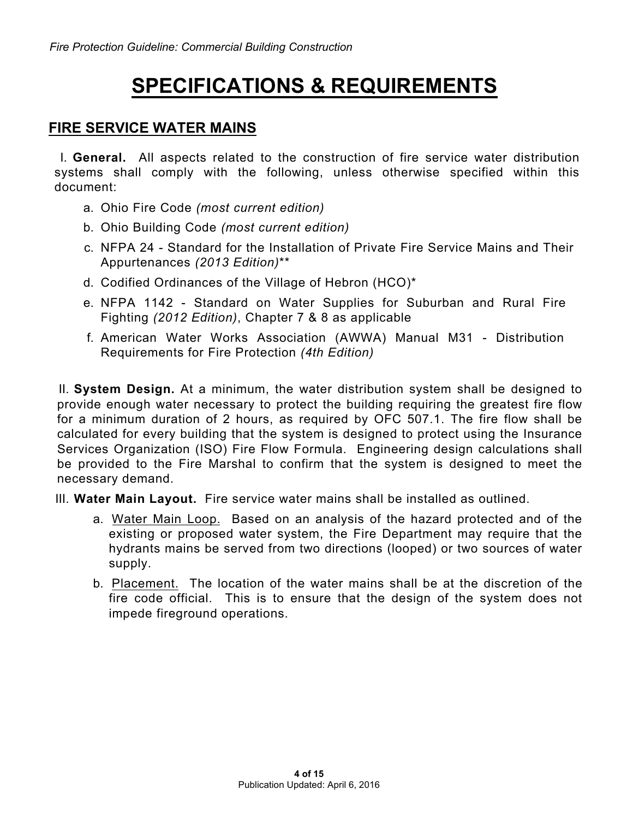# **SPECIFICATIONS & REQUIREMENTS**

## **FIRE SERVICE WATER MAINS**

I. **General.** All aspects related to the construction of fire service water distribution systems shall comply with the following, unless otherwise specified within this document:

- a. Ohio Fire Code *(most current edition)*
- b. Ohio Building Code *(most current edition)*
- c. NFPA 24 Standard for the Installation of Private Fire Service Mains and Their Appurtenances *(2013 Edition)*\*\*
- d. Codified Ordinances of the Village of Hebron (HCO)\*
- e. NFPA 1142 Standard on Water Supplies for Suburban and Rural Fire Fighting *(2012 Edition)*, Chapter 7 & 8 as applicable
- f. American Water Works Association (AWWA) Manual M31 Distribution Requirements for Fire Protection *(4th Edition)*

II. **System Design.** At a minimum, the water distribution system shall be designed to provide enough water necessary to protect the building requiring the greatest fire flow for a minimum duration of 2 hours, as required by OFC 507.1. The fire flow shall be calculated for every building that the system is designed to protect using the Insurance Services Organization (ISO) Fire Flow Formula. Engineering design calculations shall be provided to the Fire Marshal to confirm that the system is designed to meet the necessary demand.

III. **Water Main Layout.** Fire service water mains shall be installed as outlined.

- a. Water Main Loop. Based on an analysis of the hazard protected and of the existing or proposed water system, the Fire Department may require that the hydrants mains be served from two directions (looped) or two sources of water supply.
- b. Placement. The location of the water mains shall be at the discretion of the fire code official. This is to ensure that the design of the system does not impede fireground operations.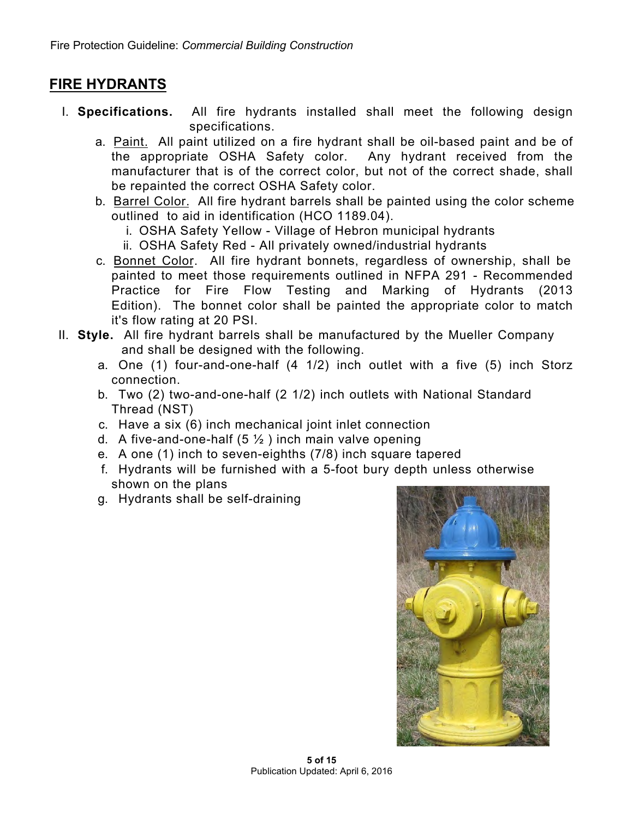## **FIRE HYDRANTS**

- I. **Specifications.** All fire hydrants installed shall meet the following design specifications.
	- a. Paint. All paint utilized on a fire hydrant shall be oil-based paint and be of the appropriate OSHA Safety color. Any hydrant received from the manufacturer that is of the correct color, but not of the correct shade, shall be repainted the correct OSHA Safety color.
	- b. Barrel Color. All fire hydrant barrels shall be painted using the color scheme outlined to aid in identification (HCO 1189.04).
		- i. OSHA Safety Yellow Village of Hebron municipal hydrants
		- ii. OSHA Safety Red All privately owned/industrial hydrants
	- c. Bonnet Color. All fire hydrant bonnets, regardless of ownership, shall be painted to meet those requirements outlined in NFPA 291 - Recommended Practice for Fire Flow Testing and Marking of Hydrants (2013 Edition). The bonnet color shall be painted the appropriate color to match it's flow rating at 20 PSI.
- II. **Style.** All fire hydrant barrels shall be manufactured by the Mueller Company and shall be designed with the following.
	- a. One (1) four-and-one-half (4 1/2) inch outlet with a five (5) inch Storz connection.
	- b. Two (2) two-and-one-half (2 1/2) inch outlets with National Standard Thread (NST)
	- c. Have a six (6) inch mechanical joint inlet connection
	- d. A five-and-one-half  $(5 \frac{1}{2})$  inch main valve opening
	- e. A one (1) inch to seven-eighths (7/8) inch square tapered
	- f. Hydrants will be furnished with a 5-foot bury depth unless otherwise shown on the plans
	- g. Hydrants shall be self-draining

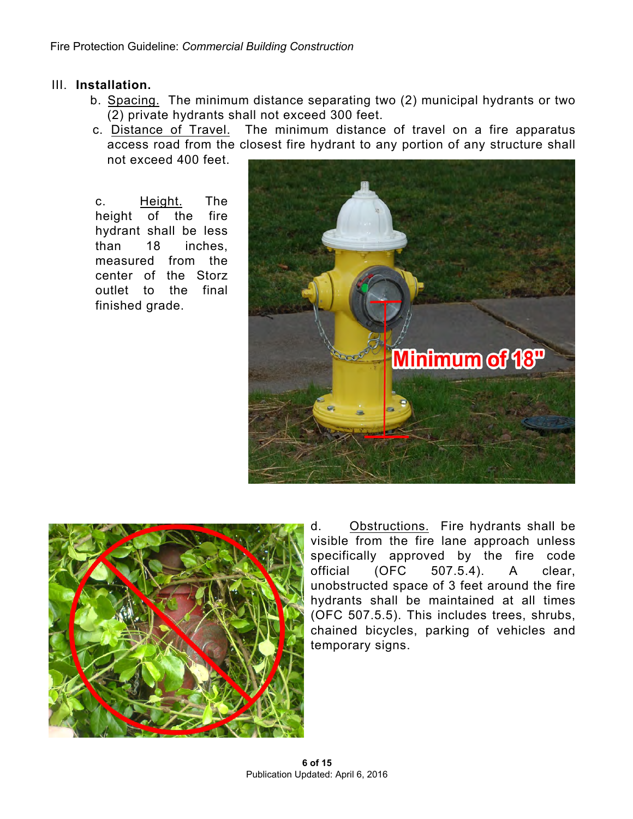#### III. **Installation.**

- b. Spacing. The minimum distance separating two (2) municipal hydrants or two (2) private hydrants shall not exceed 300 feet.
- c. Distance of Travel. The minimum distance of travel on a fire apparatus access road from the closest fire hydrant to any portion of any structure shall not exceed 400 feet.

c. Height. The height of the fire hydrant shall be less than 18 inches, measured from the center of the Storz outlet to the final finished grade.





d. Obstructions. Fire hydrants shall be visible from the fire lane approach unless specifically approved by the fire code<br>official (OFC 507.5.4). A clear. official (OFC 507.5.4). A clear, unobstructed space of 3 feet around the fire hydrants shall be maintained at all times (OFC 507.5.5). This includes trees, shrubs, chained bicycles, parking of vehicles and temporary signs.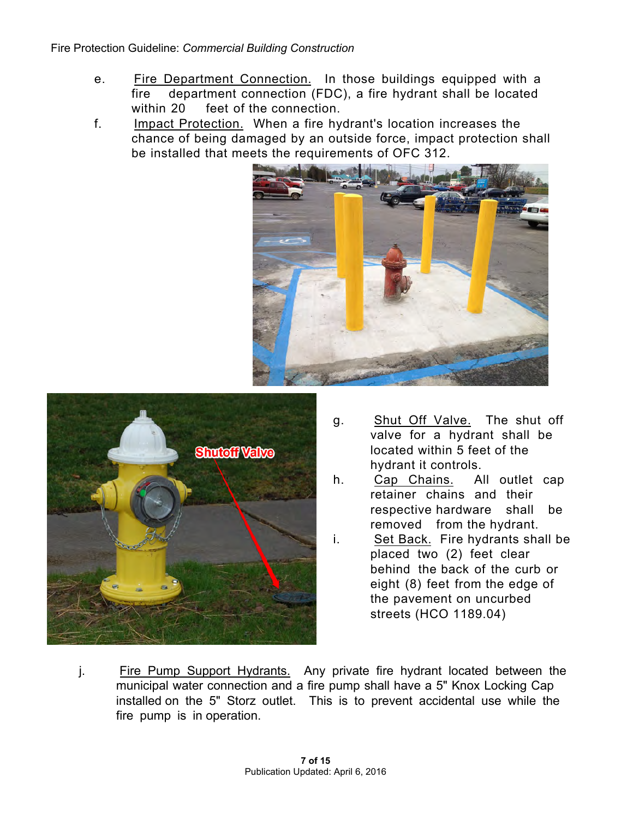- e. Fire Department Connection. In those buildings equipped with a fire department connection (FDC), a fire hydrant shall be located within 20 feet of the connection.
- f. Impact Protection. When a fire hydrant's location increases the chance of being damaged by an outside force, impact protection shall be installed that meets the requirements of OFC 312.





- g. Shut Off Valve. The shut off valve for a hydrant shall be located within 5 feet of the hydrant it controls.
- h. Cap Chains. All outlet cap retainer chains and their respective hardware shall be removed from the hydrant.
- i. Set Back. Fire hydrants shall be placed two (2) feet clear behind the back of the curb or eight (8) feet from the edge of the pavement on uncurbed streets (HCO 1189.04)
- j. Fire Pump Support Hydrants. Any private fire hydrant located between the municipal water connection and a fire pump shall have a 5" Knox Locking Cap installed on the 5" Storz outlet. This is to prevent accidental use while the fire pump is in operation.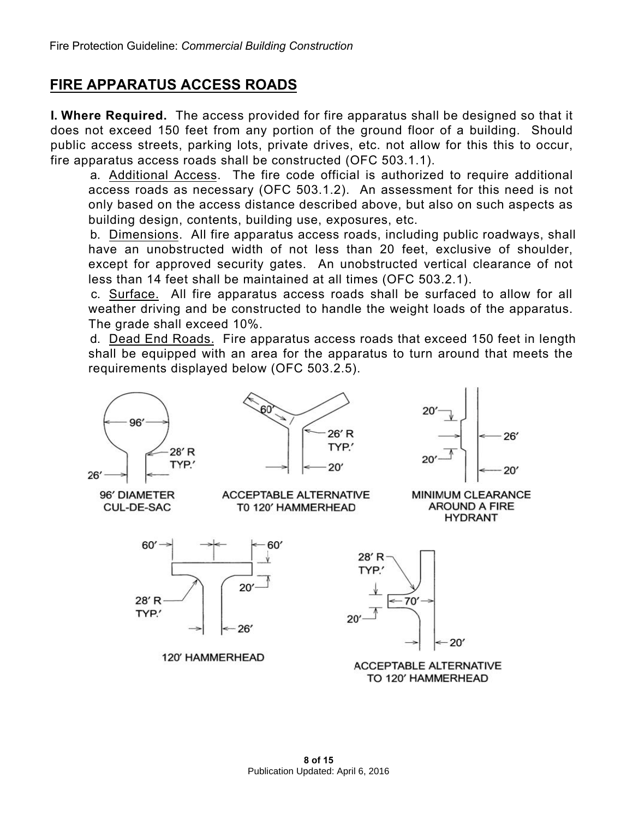## **FIRE APPARATUS ACCESS ROADS**

**I. Where Required.** The access provided for fire apparatus shall be designed so that it does not exceed 150 feet from any portion of the ground floor of a building. Should public access streets, parking lots, private drives, etc. not allow for this this to occur, fire apparatus access roads shall be constructed (OFC 503.1.1).

a. Additional Access. The fire code official is authorized to require additional access roads as necessary (OFC 503.1.2). An assessment for this need is not only based on the access distance described above, but also on such aspects as building design, contents, building use, exposures, etc.

b. Dimensions. All fire apparatus access roads, including public roadways, shall have an unobstructed width of not less than 20 feet, exclusive of shoulder, except for approved security gates. An unobstructed vertical clearance of not less than 14 feet shall be maintained at all times (OFC 503.2.1).

c. Surface. All fire apparatus access roads shall be surfaced to allow for all weather driving and be constructed to handle the weight loads of the apparatus. The grade shall exceed 10%.

d. Dead End Roads. Fire apparatus access roads that exceed 150 feet in length shall be equipped with an area for the apparatus to turn around that meets the requirements displayed below (OFC 503.2.5).

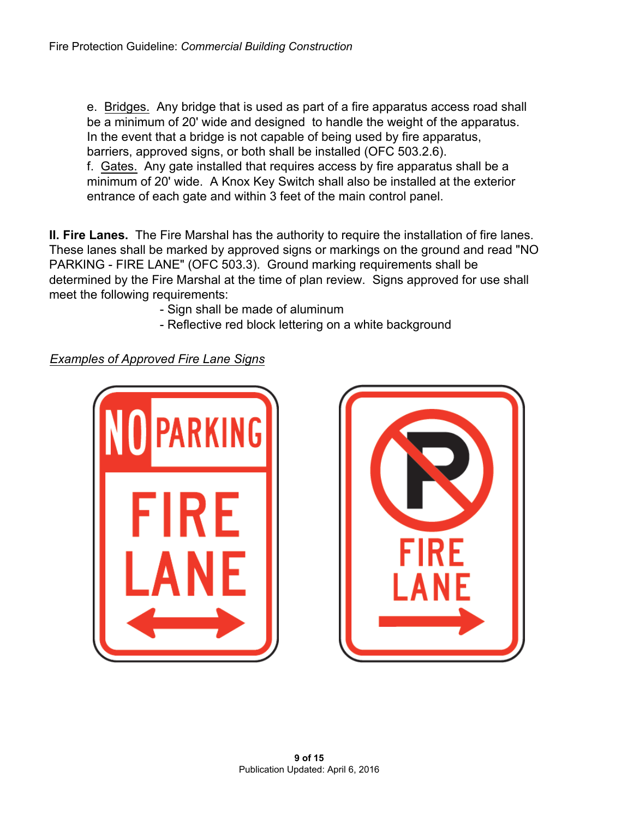e. Bridges. Any bridge that is used as part of a fire apparatus access road shall be a minimum of 20' wide and designed to handle the weight of the apparatus. In the event that a bridge is not capable of being used by fire apparatus, barriers, approved signs, or both shall be installed (OFC 503.2.6). f. Gates. Any gate installed that requires access by fire apparatus shall be a minimum of 20' wide. A Knox Key Switch shall also be installed at the exterior entrance of each gate and within 3 feet of the main control panel.

**II. Fire Lanes.** The Fire Marshal has the authority to require the installation of fire lanes. These lanes shall be marked by approved signs or markings on the ground and read "NO PARKING - FIRE LANE" (OFC 503.3). Ground marking requirements shall be determined by the Fire Marshal at the time of plan review. Signs approved for use shall meet the following requirements:

- Sign shall be made of aluminum
- Reflective red block lettering on a white background

*Examples of Approved Fire Lane Signs*



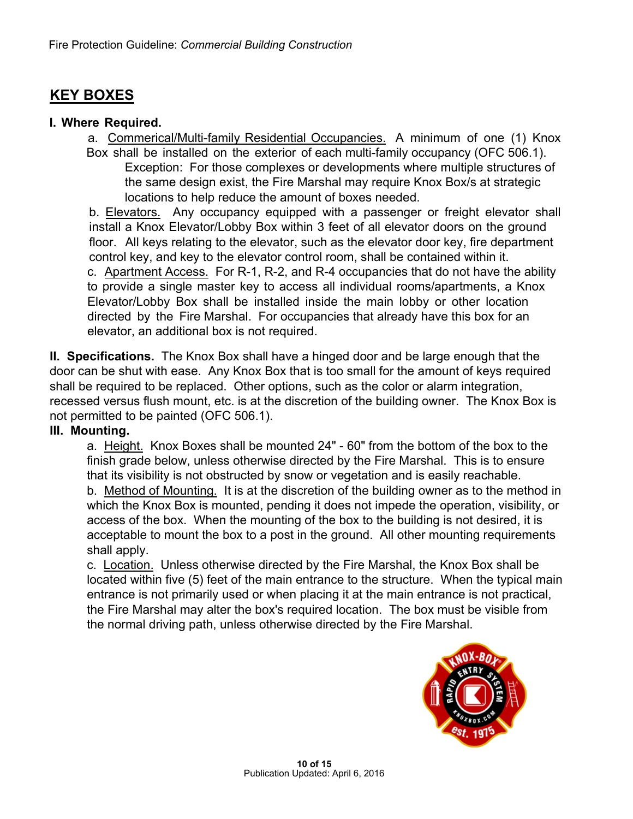# **KEY BOXES**

#### **I. Where Required.**

a. Commerical/Multi-family Residential Occupancies. A minimum of one (1) Knox Box shall be installed on the exterior of each multi-family occupancy (OFC 506.1). Exception: For those complexes or developments where multiple structures of the same design exist, the Fire Marshal may require Knox Box/s at strategic locations to help reduce the amount of boxes needed.

b. Elevators. Any occupancy equipped with a passenger or freight elevator shall install a Knox Elevator/Lobby Box within 3 feet of all elevator doors on the ground floor. All keys relating to the elevator, such as the elevator door key, fire department control key, and key to the elevator control room, shall be contained within it. c. Apartment Access. For R-1, R-2, and R-4 occupancies that do not have the ability to provide a single master key to access all individual rooms/apartments, a Knox Elevator/Lobby Box shall be installed inside the main lobby or other location directed by the Fire Marshal. For occupancies that already have this box for an elevator, an additional box is not required.

**II. Specifications.** The Knox Box shall have a hinged door and be large enough that the door can be shut with ease. Any Knox Box that is too small for the amount of keys required shall be required to be replaced. Other options, such as the color or alarm integration, recessed versus flush mount, etc. is at the discretion of the building owner. The Knox Box is not permitted to be painted (OFC 506.1).

#### **III. Mounting.**

a. Height. Knox Boxes shall be mounted 24" - 60" from the bottom of the box to the finish grade below, unless otherwise directed by the Fire Marshal. This is to ensure that its visibility is not obstructed by snow or vegetation and is easily reachable. b. Method of Mounting. It is at the discretion of the building owner as to the method in which the Knox Box is mounted, pending it does not impede the operation, visibility, or access of the box. When the mounting of the box to the building is not desired, it is acceptable to mount the box to a post in the ground. All other mounting requirements shall apply.

c. Location. Unless otherwise directed by the Fire Marshal, the Knox Box shall be located within five (5) feet of the main entrance to the structure. When the typical main entrance is not primarily used or when placing it at the main entrance is not practical, the Fire Marshal may alter the box's required location. The box must be visible from the normal driving path, unless otherwise directed by the Fire Marshal.

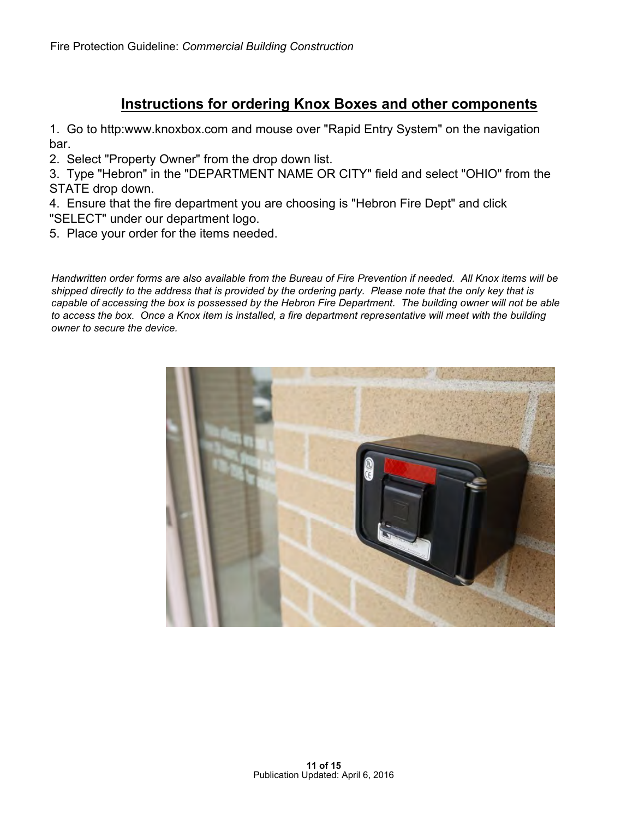## **Instructions for ordering Knox Boxes and other components**

1. Go to [http:www.knoxbox.com a](http://www.knoxbox.com)nd mouse over "Rapid Entry System" on the navigation bar.

2. Select "Property Owner" from the drop down list.

3. Type "Hebron" in the "DEPARTMENT NAME OR CITY" field and select "OHIO" from the STATE drop down.

4. Ensure that the fire department you are choosing is "Hebron Fire Dept" and click "SELECT" under our department logo.

5. Place your order for the items needed.

*Handwritten order forms are also available from the Bureau of Fire Prevention if needed. All Knox items will be shipped directly to the address that is provided by the ordering party. Please note that the only key that is capable of accessing the box is possessed by the Hebron Fire Department. The building owner will not be able to access the box. Once a Knox item is installed, a fire department representative will meet with the building owner to secure the device.*

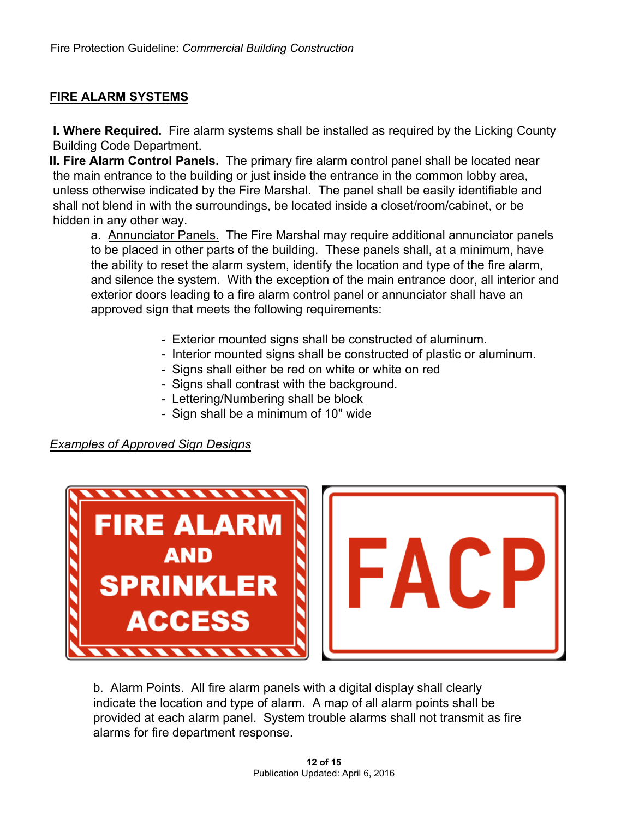#### **FIRE ALARM SYSTEMS**

**I. Where Required.** Fire alarm systems shall be installed as required by the Licking County Building Code Department.

**II. Fire Alarm Control Panels.** The primary fire alarm control panel shall be located near the main entrance to the building or just inside the entrance in the common lobby area, unless otherwise indicated by the Fire Marshal. The panel shall be easily identifiable and shall not blend in with the surroundings, be located inside a closet/room/cabinet, or be hidden in any other way.

a. Annunciator Panels. The Fire Marshal may require additional annunciator panels to be placed in other parts of the building. These panels shall, at a minimum, have the ability to reset the alarm system, identify the location and type of the fire alarm, and silence the system. With the exception of the main entrance door, all interior and exterior doors leading to a fire alarm control panel or annunciator shall have an approved sign that meets the following requirements:

- Exterior mounted signs shall be constructed of aluminum.
- Interior mounted signs shall be constructed of plastic or aluminum.
- Signs shall either be red on white or white on red
- Signs shall contrast with the background.
- Lettering/Numbering shall be block
- Sign shall be a minimum of 10" wide

*Examples of Approved Sign Designs*



b. Alarm Points. All fire alarm panels with a digital display shall clearly indicate the location and type of alarm. A map of all alarm points shall be provided at each alarm panel. System trouble alarms shall not transmit as fire alarms for fire department response.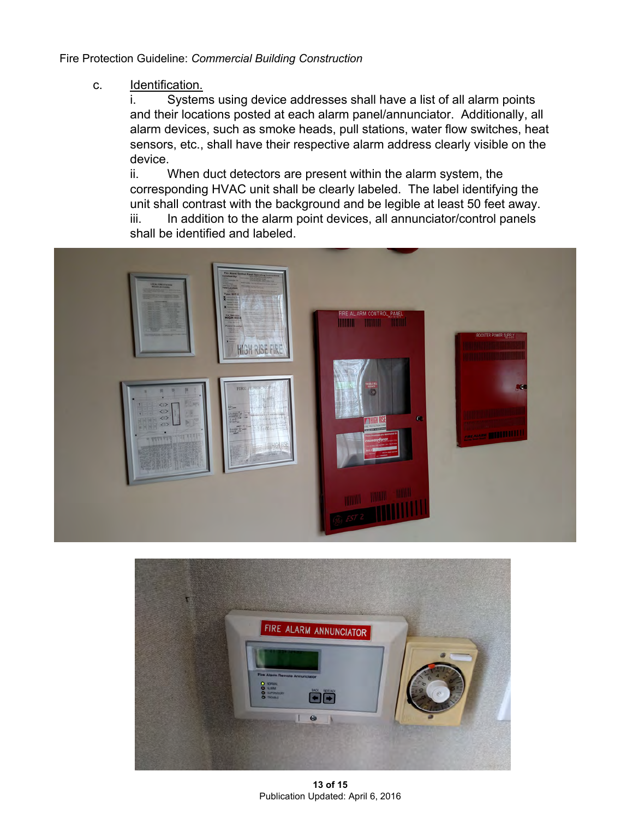#### c. Identification.

i. Systems using device addresses shall have a list of all alarm points and their locations posted at each alarm panel/annunciator. Additionally, all alarm devices, such as smoke heads, pull stations, water flow switches, heat sensors, etc., shall have their respective alarm address clearly visible on the device.

ii. When duct detectors are present within the alarm system, the corresponding HVAC unit shall be clearly labeled. The label identifying the unit shall contrast with the background and be legible at least 50 feet away. iii. In addition to the alarm point devices, all annunciator/control panels shall be identified and labeled.





**13 of 15** Publication Updated: April 6, 2016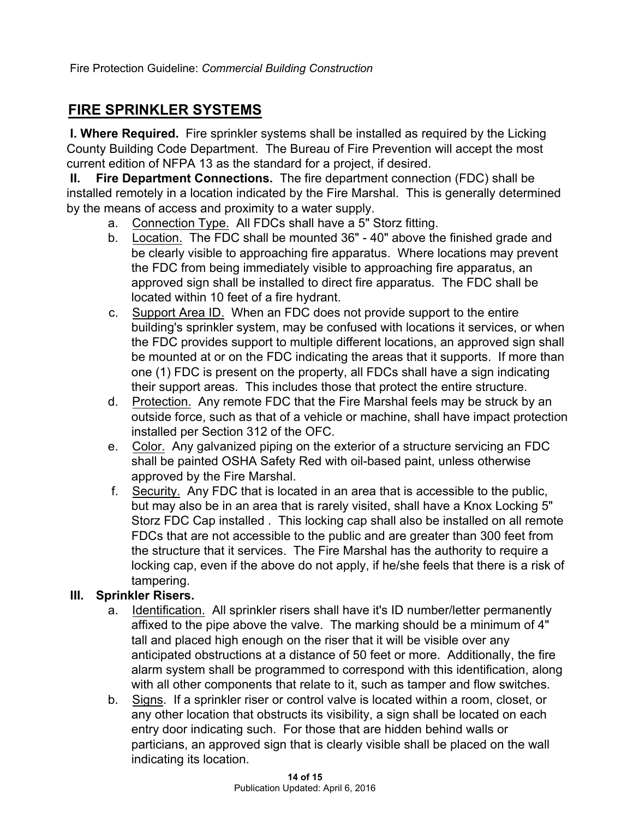Fire Protection Guideline: *Commercial Building Construction*

## **FIRE SPRINKLER SYSTEMS**

**I. Where Required.** Fire sprinkler systems shall be installed as required by the Licking County Building Code Department. The Bureau of Fire Prevention will accept the most current edition of NFPA 13 as the standard for a project, if desired.

**II. Fire Department Connections.** The fire department connection (FDC) shall be installed remotely in a location indicated by the Fire Marshal. This is generally determined by the means of access and proximity to a water supply.

- a. Connection Type. All FDCs shall have a 5" Storz fitting.
- b. Location. The FDC shall be mounted 36" 40" above the finished grade and be clearly visible to approaching fire apparatus. Where locations may prevent the FDC from being immediately visible to approaching fire apparatus, an approved sign shall be installed to direct fire apparatus. The FDC shall be located within 10 feet of a fire hydrant.
- c. Support Area ID. When an FDC does not provide support to the entire building's sprinkler system, may be confused with locations it services, or when the FDC provides support to multiple different locations, an approved sign shall be mounted at or on the FDC indicating the areas that it supports. If more than one (1) FDC is present on the property, all FDCs shall have a sign indicating their support areas. This includes those that protect the entire structure.
- d. Protection. Any remote FDC that the Fire Marshal feels may be struck by an outside force, such as that of a vehicle or machine, shall have impact protection installed per Section 312 of the OFC.
- e. Color. Any galvanized piping on the exterior of a structure servicing an FDC shall be painted OSHA Safety Red with oil-based paint, unless otherwise approved by the Fire Marshal.
- f. Security. Any FDC that is located in an area that is accessible to the public, but may also be in an area that is rarely visited, shall have a Knox Locking 5" Storz FDC Cap installed . This locking cap shall also be installed on all remote FDCs that are not accessible to the public and are greater than 300 feet from the structure that it services. The Fire Marshal has the authority to require a locking cap, even if the above do not apply, if he/she feels that there is a risk of tampering.

### **III. Sprinkler Risers.**

- a. Identification. All sprinkler risers shall have it's ID number/letter permanently affixed to the pipe above the valve. The marking should be a minimum of 4" tall and placed high enough on the riser that it will be visible over any anticipated obstructions at a distance of 50 feet or more. Additionally, the fire alarm system shall be programmed to correspond with this identification, along with all other components that relate to it, such as tamper and flow switches.
- b. Signs. If a sprinkler riser or control valve is located within a room, closet, or any other location that obstructs its visibility, a sign shall be located on each entry door indicating such. For those that are hidden behind walls or particians, an approved sign that is clearly visible shall be placed on the wall indicating its location.